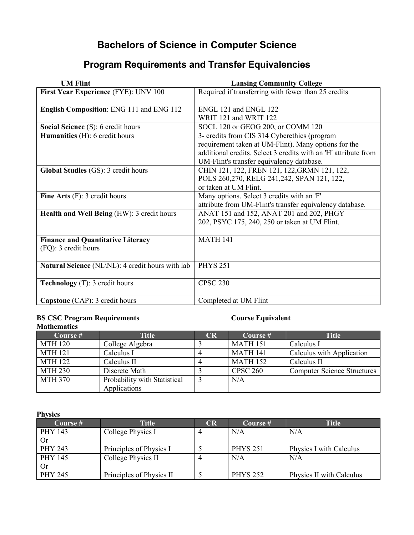## **Bachelors of Science in Computer Science**

# **Program Requirements and Transfer Equivalencies**

| <b>UM Flint</b>                                                  | <b>Lansing Community College</b>                                                                                                                                                                                     |
|------------------------------------------------------------------|----------------------------------------------------------------------------------------------------------------------------------------------------------------------------------------------------------------------|
| First Year Experience (FYE): UNV 100                             | Required if transferring with fewer than 25 credits                                                                                                                                                                  |
| English Composition: ENG 111 and ENG 112                         | ENGL 121 and ENGL 122<br>WRIT 121 and WRIT 122                                                                                                                                                                       |
| <b>Social Science (S): 6 credit hours</b>                        | SOCL 120 or GEOG 200, or COMM 120                                                                                                                                                                                    |
| <b>Humanities</b> (H): 6 credit hours                            | 3- credits from CIS 314 Cyberethics (program<br>requirement taken at UM-Flint). Many options for the<br>additional credits. Select 3 credits with an 'H' attribute from<br>UM-Flint's transfer equivalency database. |
| Global Studies (GS): 3 credit hours                              | CHIN 121, 122, FREN 121, 122, GRMN 121, 122,<br>POLS 260,270, RELG 241,242, SPAN 121, 122,<br>or taken at UM Flint.                                                                                                  |
| Fine Arts $(F)$ : 3 credit hours                                 | Many options. Select 3 credits with an 'F'<br>attribute from UM-Flint's transfer equivalency database.                                                                                                               |
| Health and Well Being (HW): 3 credit hours                       | ANAT 151 and 152, ANAT 201 and 202, PHGY<br>202, PSYC 175, 240, 250 or taken at UM Flint.                                                                                                                            |
| <b>Finance and Quantitative Literacy</b><br>(FQ): 3 credit hours | <b>MATH 141</b>                                                                                                                                                                                                      |
| <b>Natural Science</b> (NL\NL): 4 credit hours with lab          | <b>PHYS 251</b>                                                                                                                                                                                                      |
| Technology (T): 3 credit hours                                   | <b>CPSC 230</b>                                                                                                                                                                                                      |
| <b>Capstone</b> (CAP): 3 credit hours                            | Completed at UM Flint                                                                                                                                                                                                |

# **BS CSC Program Requirements Course Equivalent**

#### **Mathematics**<br>Course # Title **CR Course # Title CR Course # Calculus I** MTH 120 College Algebra 3 MATH 151<br>MTH 121 Calculus I 4 MATH 141 Calculus I 4 MATH 141 Calculus with Application<br>Calculus II 4 MATH 152 Calculus II MTH 122 Calculus II 4 MATH 152 Calculus II<br>MTH 230 Discrete Math 3 CPSC 260 Computer S MTH 230 Discrete Math 3 CPSC 260 Computer Science Structures<br>MTH 370 Probability with Statistical 3 N/A Probability with Statistical Applications  $N/A$

#### **Physics**

| Course #  | Title                    | CR | Course #        | <b>Title</b>             |
|-----------|--------------------------|----|-----------------|--------------------------|
| PHY 143   | College Physics I        |    | N/A             | N/A                      |
| Or.       |                          |    |                 |                          |
| PHY 243   | Principles of Physics I  |    | <b>PHYS 251</b> | Physics I with Calculus  |
| PHY 145   | College Physics II       |    | N/A             | N/A                      |
| <b>Or</b> |                          |    |                 |                          |
| PHY 245   | Principles of Physics II |    | <b>PHYS 252</b> | Physics II with Calculus |